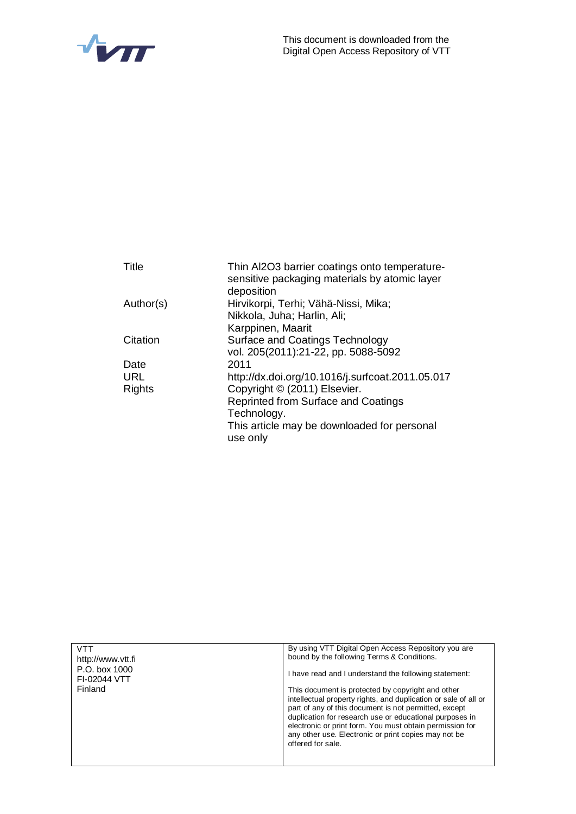



| Thin AI2O3 barrier coatings onto temperature-<br>sensitive packaging materials by atomic layer<br>deposition |
|--------------------------------------------------------------------------------------------------------------|
| Hirvikorpi, Terhi; Vähä-Nissi, Mika;                                                                         |
| Nikkola, Juha; Harlin, Ali;                                                                                  |
| Karppinen, Maarit                                                                                            |
| <b>Surface and Coatings Technology</b>                                                                       |
| vol. 205(2011):21-22, pp. 5088-5092                                                                          |
| 2011                                                                                                         |
| http://dx.doi.org/10.1016/j.surfcoat.2011.05.017                                                             |
| Copyright © (2011) Elsevier.                                                                                 |
| Reprinted from Surface and Coatings                                                                          |
| Technology.                                                                                                  |
| This article may be downloaded for personal                                                                  |
| use only                                                                                                     |
|                                                                                                              |

| VTT                           | By using VTT Digital Open Access Repository you are                                                                                                                                                                                                                                                                                                                               |
|-------------------------------|-----------------------------------------------------------------------------------------------------------------------------------------------------------------------------------------------------------------------------------------------------------------------------------------------------------------------------------------------------------------------------------|
| http://www.ytt.fi             | bound by the following Terms & Conditions.                                                                                                                                                                                                                                                                                                                                        |
| P.O. box 1000<br>FI-02044 VTT | I have read and I understand the following statement:                                                                                                                                                                                                                                                                                                                             |
| Finland                       | This document is protected by copyright and other<br>intellectual property rights, and duplication or sale of all or<br>part of any of this document is not permitted, except<br>duplication for research use or educational purposes in<br>electronic or print form. You must obtain permission for<br>any other use. Electronic or print copies may not be<br>offered for sale. |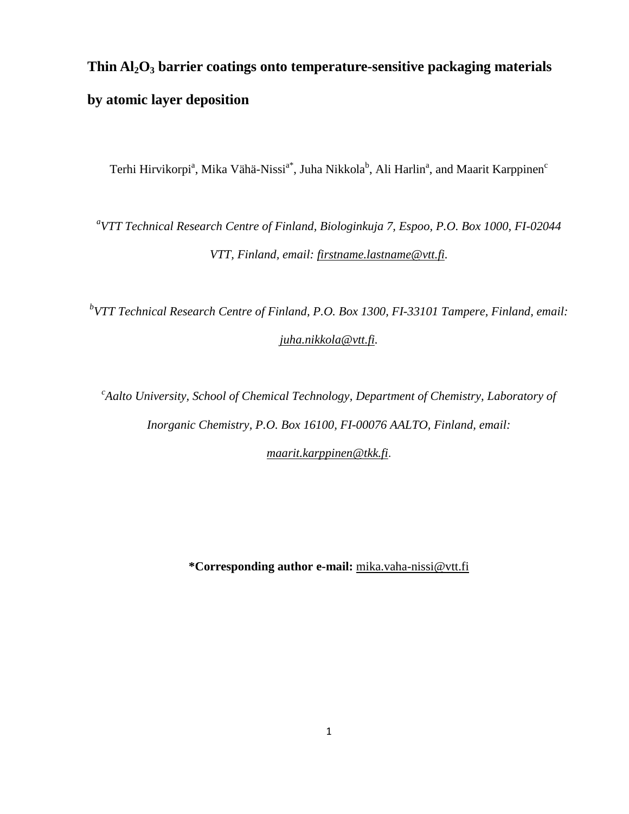# **Thin Al2O<sup>3</sup> barrier coatings onto temperature-sensitive packaging materials by atomic layer deposition**

Terhi Hirvikorpi<sup>a</sup>, Mika Vähä-Nissi<sup>a\*</sup>, Juha Nikkola<sup>b</sup>, Ali Harlin<sup>a</sup>, and Maarit Karppinen<sup>c</sup>

*a VTT Technical Research Centre of Finland, Biologinkuja 7, Espoo, P.O. Box 1000, FI-02044 VTT, Finland, email: [firstname.lastname@vtt.fi.](mailto:firstname.lastname@vtt.fi)*

*b VTT Technical Research Centre of Finland, P.O. Box 1300, FI-33101 Tampere, Finland, email: [juha.nikkola@vtt.fi.](mailto:firstname.lastname@vtt.fi)*

*c Aalto University, School of Chemical Technology, Department of Chemistry, Laboratory of Inorganic Chemistry, P.O. Box 16100, FI-00076 AALTO, Finland, email:*

*[maarit.karppinen@tkk.fi](mailto:maarit.karppinen@tkk.fi)*.

**\*Corresponding author e-mail:** [mika.vaha-nissi@vtt.fi](mailto:mika.vaha-nissi@vtt.fi)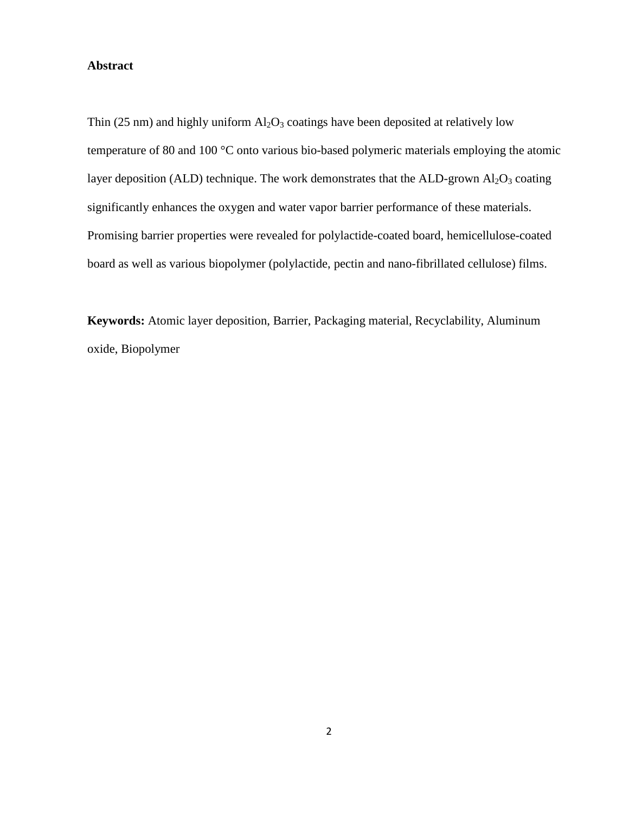## **Abstract**

Thin (25 nm) and highly uniform  $Al_2O_3$  coatings have been deposited at relatively low temperature of 80 and 100 °C onto various bio-based polymeric materials employing the atomic layer deposition (ALD) technique. The work demonstrates that the ALD-grown  $Al_2O_3$  coating significantly enhances the oxygen and water vapor barrier performance of these materials. Promising barrier properties were revealed for polylactide-coated board, hemicellulose-coated board as well as various biopolymer (polylactide, pectin and nano-fibrillated cellulose) films.

**Keywords:** Atomic layer deposition, Barrier, Packaging material, Recyclability, Aluminum oxide, Biopolymer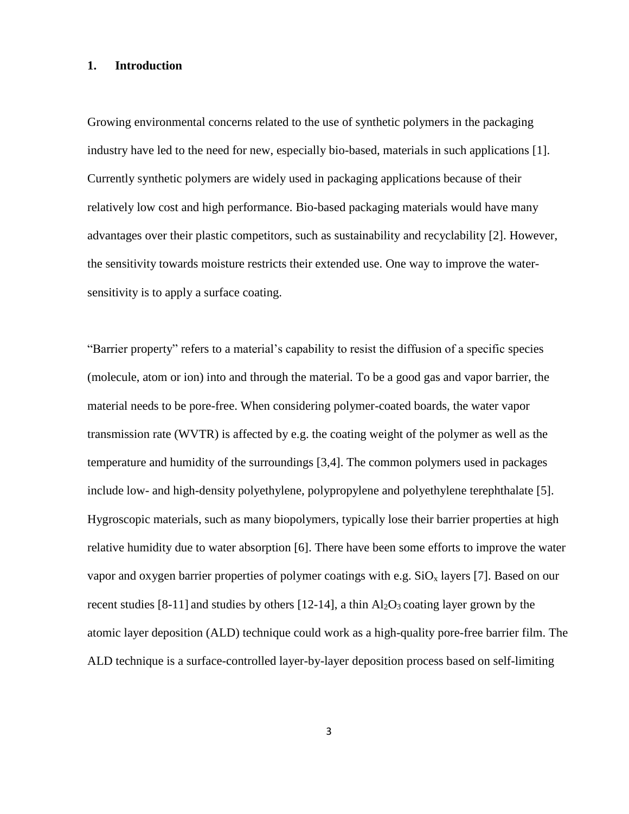### **1. Introduction**

Growing environmental concerns related to the use of synthetic polymers in the packaging industry have led to the need for new, especially bio-based, materials in such applications [1]. Currently synthetic polymers are widely used in packaging applications because of their relatively low cost and high performance. Bio-based packaging materials would have many advantages over their plastic competitors, such as sustainability and recyclability [2]. However, the sensitivity towards moisture restricts their extended use. One way to improve the watersensitivity is to apply a surface coating.

"Barrier property" refers to a material's capability to resist the diffusion of a specific species (molecule, atom or ion) into and through the material. To be a good gas and vapor barrier, the material needs to be pore-free. When considering polymer-coated boards, the water vapor transmission rate (WVTR) is affected by e.g. the coating weight of the polymer as well as the temperature and humidity of the surroundings [3,4]. The common polymers used in packages include low- and high-density polyethylene, polypropylene and polyethylene terephthalate [5]. Hygroscopic materials, such as many biopolymers, typically lose their barrier properties at high relative humidity due to water absorption [6]. There have been some efforts to improve the water vapor and oxygen barrier properties of polymer coatings with e.g.  $SiO_x$  layers [7]. Based on our recent studies [8-11] and studies by others [12-14], a thin  $Al_2O_3$  coating layer grown by the atomic layer deposition (ALD) technique could work as a high-quality pore-free barrier film. The ALD technique is a surface-controlled layer-by-layer deposition process based on self-limiting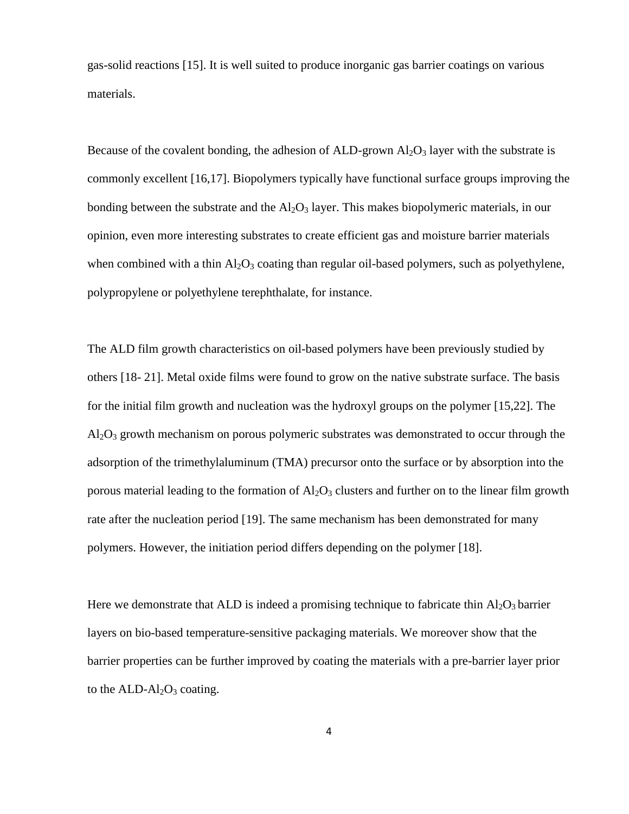gas-solid reactions [15]. It is well suited to produce inorganic gas barrier coatings on various materials.

Because of the covalent bonding, the adhesion of ALD-grown  $Al_2O_3$  layer with the substrate is commonly excellent [16,17]. Biopolymers typically have functional surface groups improving the bonding between the substrate and the  $A<sub>12</sub>O<sub>3</sub>$  layer. This makes biopolymeric materials, in our opinion, even more interesting substrates to create efficient gas and moisture barrier materials when combined with a thin  $A_2O_3$  coating than regular oil-based polymers, such as polyethylene, polypropylene or polyethylene terephthalate, for instance.

The ALD film growth characteristics on oil-based polymers have been previously studied by others [18- 21]. Metal oxide films were found to grow on the native substrate surface. The basis for the initial film growth and nucleation was the hydroxyl groups on the polymer [15,22]. The  $Al_2O_3$  growth mechanism on porous polymeric substrates was demonstrated to occur through the adsorption of the trimethylaluminum (TMA) precursor onto the surface or by absorption into the porous material leading to the formation of  $A<sub>1</sub>Q<sub>3</sub>$  clusters and further on to the linear film growth rate after the nucleation period [19]. The same mechanism has been demonstrated for many polymers. However, the initiation period differs depending on the polymer [18].

Here we demonstrate that ALD is indeed a promising technique to fabricate thin  $Al_2O_3$  barrier layers on bio-based temperature-sensitive packaging materials. We moreover show that the barrier properties can be further improved by coating the materials with a pre-barrier layer prior to the  $ALD-Al<sub>2</sub>O<sub>3</sub> coating.$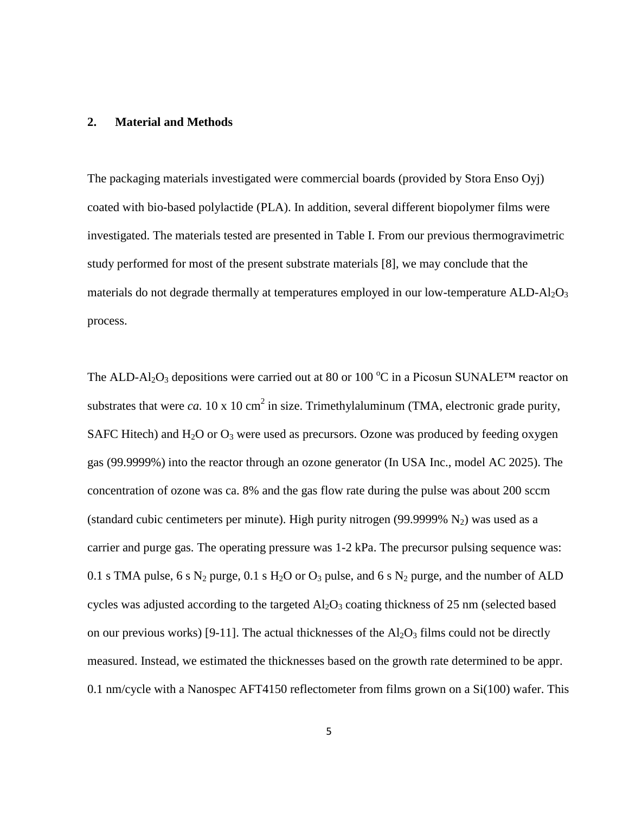#### **2. Material and Methods**

The packaging materials investigated were commercial boards (provided by Stora Enso Oyj) coated with bio-based polylactide (PLA). In addition, several different biopolymer films were investigated. The materials tested are presented in Table I. From our previous thermogravimetric study performed for most of the present substrate materials [8], we may conclude that the materials do not degrade thermally at temperatures employed in our low-temperature  $ALD-Al_2O_3$ process.

The ALD-Al<sub>2</sub>O<sub>3</sub> depositions were carried out at 80 or 100  $^{\circ}$ C in a Picosun SUNALE<sup>TM</sup> reactor on substrates that were *ca*. 10 x 10 cm<sup>2</sup> in size. Trimethylaluminum (TMA, electronic grade purity, SAFC Hitech) and  $H_2O$  or  $O_3$  were used as precursors. Ozone was produced by feeding oxygen gas (99.9999%) into the reactor through an ozone generator (In USA Inc., model AC 2025). The concentration of ozone was ca. 8% and the gas flow rate during the pulse was about 200 sccm (standard cubic centimeters per minute). High purity nitrogen (99.9999%  $N_2$ ) was used as a carrier and purge gas. The operating pressure was 1-2 kPa. The precursor pulsing sequence was: 0.1 s TMA pulse, 6 s  $N_2$  purge, 0.1 s  $H_2O$  or  $O_3$  pulse, and 6 s  $N_2$  purge, and the number of ALD cycles was adjusted according to the targeted  $Al_2O_3$  coating thickness of 25 nm (selected based on our previous works) [9-11]. The actual thicknesses of the  $Al_2O_3$  films could not be directly measured. Instead, we estimated the thicknesses based on the growth rate determined to be appr. 0.1 nm/cycle with a Nanospec AFT4150 reflectometer from films grown on a Si(100) wafer. This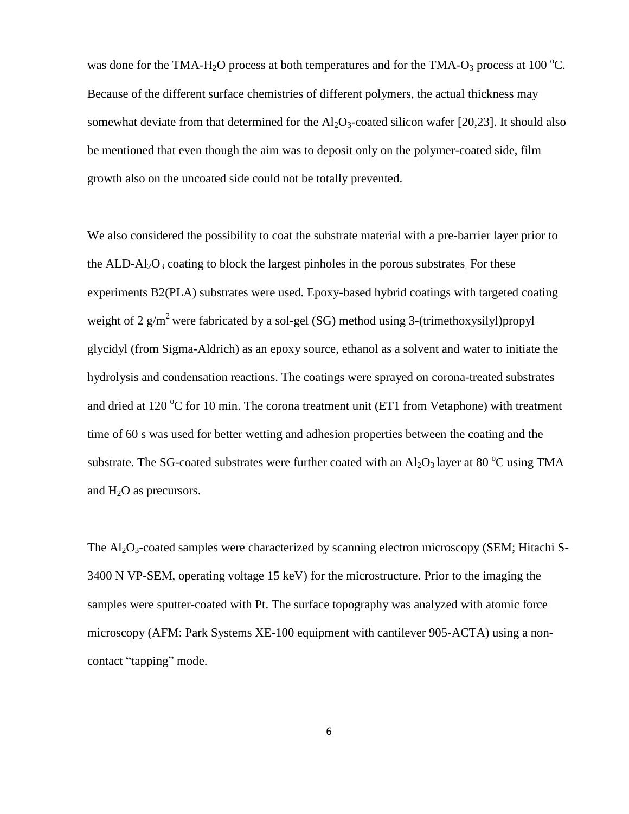was done for the TMA-H<sub>2</sub>O process at both temperatures and for the TMA-O<sub>3</sub> process at 100 <sup>o</sup>C. Because of the different surface chemistries of different polymers, the actual thickness may somewhat deviate from that determined for the  $Al_2O_3$ -coated silicon wafer [20,23]. It should also be mentioned that even though the aim was to deposit only on the polymer-coated side, film growth also on the uncoated side could not be totally prevented.

We also considered the possibility to coat the substrate material with a pre-barrier layer prior to the ALD- $Al_2O_3$  coating to block the largest pinholes in the porous substrates. For these experiments B2(PLA) substrates were used. Epoxy-based hybrid coatings with targeted coating weight of 2  $g/m^2$  were fabricated by a sol-gel (SG) method using 3-(trimethoxysilyl)propyl glycidyl (from Sigma-Aldrich) as an epoxy source, ethanol as a solvent and water to initiate the hydrolysis and condensation reactions. The coatings were sprayed on corona-treated substrates and dried at 120  $\mathrm{^{\circ}C}$  for 10 min. The corona treatment unit (ET1 from Vetaphone) with treatment time of 60 s was used for better wetting and adhesion properties between the coating and the substrate. The SG-coated substrates were further coated with an  $Al_2O_3$  layer at 80 °C using TMA and  $H_2O$  as precursors.

The  $\text{Al}_2\text{O}_3$ -coated samples were characterized by scanning electron microscopy (SEM; Hitachi S-3400 N VP-SEM, operating voltage 15 keV) for the microstructure. Prior to the imaging the samples were sputter-coated with Pt. The surface topography was analyzed with atomic force microscopy (AFM: Park Systems XE-100 equipment with cantilever 905-ACTA) using a noncontact "tapping" mode.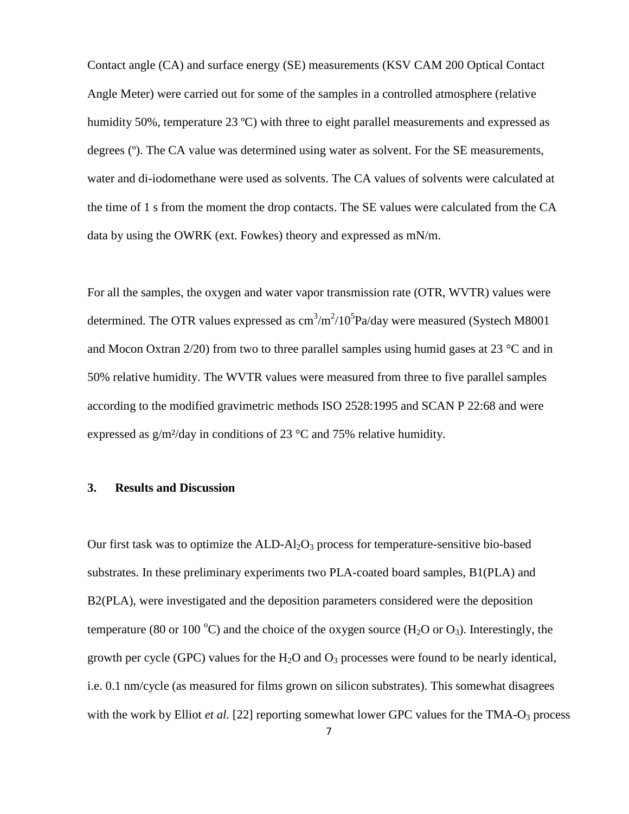Contact angle (CA) and surface energy (SE) measurements (KSV CAM 200 Optical Contact Angle Meter) were carried out for some of the samples in a controlled atmosphere (relative humidity 50%, temperature 23 °C) with three to eight parallel measurements and expressed as degrees (º). The CA value was determined using water as solvent. For the SE measurements, water and di-iodomethane were used as solvents. The CA values of solvents were calculated at the time of 1 s from the moment the drop contacts. The SE values were calculated from the CA data by using the OWRK (ext. Fowkes) theory and expressed as mN/m.

For all the samples, the oxygen and water vapor transmission rate (OTR, WVTR) values were determined. The OTR values expressed as  $\text{cm}^3/\text{m}^2/10^5 \text{Pa/day}$  were measured (Systech M8001 and Mocon Oxtran  $2/20$  from two to three parallel samples using humid gases at 23 °C and in 50% relative humidity. The WVTR values were measured from three to five parallel samples according to the modified gravimetric methods ISO 2528:1995 and SCAN P 22:68 and were expressed as  $g/m^2$ /day in conditions of 23 °C and 75% relative humidity.

### **3. Results and Discussion**

Our first task was to optimize the  $ALD-A1<sub>2</sub>O<sub>3</sub>$  process for temperature-sensitive bio-based substrates. In these preliminary experiments two PLA-coated board samples, B1(PLA) and B2(PLA), were investigated and the deposition parameters considered were the deposition temperature (80 or 100 °C) and the choice of the oxygen source (H<sub>2</sub>O or O<sub>3</sub>). Interestingly, the growth per cycle (GPC) values for the  $H_2O$  and  $O_3$  processes were found to be nearly identical, i.e. 0.1 nm/cycle (as measured for films grown on silicon substrates). This somewhat disagrees with the work by Elliot *et al.* [22] reporting somewhat lower GPC values for the TMA-O<sub>3</sub> process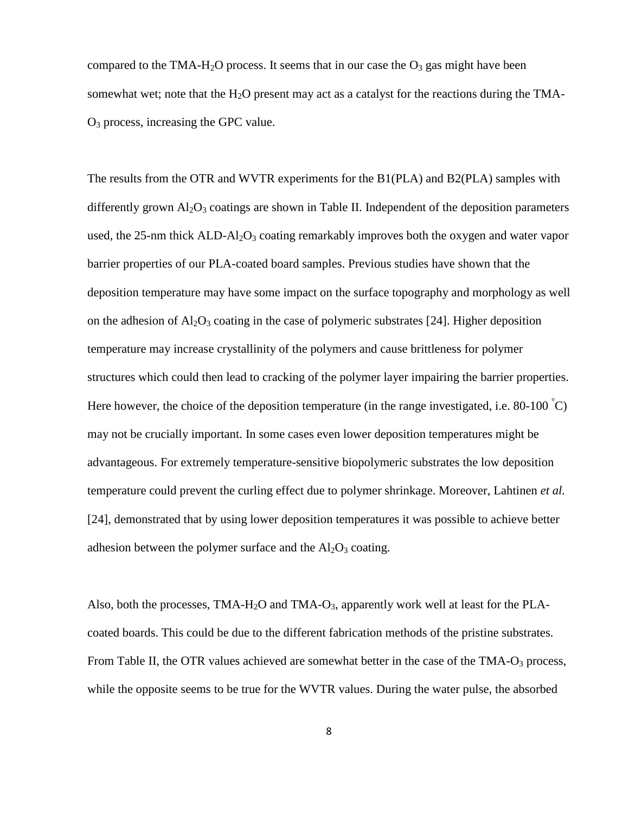compared to the TMA-H<sub>2</sub>O process. It seems that in our case the  $O_3$  gas might have been somewhat wet; note that the  $H_2O$  present may act as a catalyst for the reactions during the TMA- $O<sub>3</sub>$  process, increasing the GPC value.

The results from the OTR and WVTR experiments for the B1(PLA) and B2(PLA) samples with differently grown  $\text{Al}_2\text{O}_3$  coatings are shown in Table II. Independent of the deposition parameters used, the 25-nm thick  $ALD-AI_2O_3$  coating remarkably improves both the oxygen and water vapor barrier properties of our PLA-coated board samples. Previous studies have shown that the deposition temperature may have some impact on the surface topography and morphology as well on the adhesion of  $A_1Q_3$  coating in the case of polymeric substrates [24]. Higher deposition temperature may increase crystallinity of the polymers and cause brittleness for polymer structures which could then lead to cracking of the polymer layer impairing the barrier properties. Here however, the choice of the deposition temperature (in the range investigated, i.e. 80-100  $\degree$ C) may not be crucially important. In some cases even lower deposition temperatures might be advantageous. For extremely temperature-sensitive biopolymeric substrates the low deposition temperature could prevent the curling effect due to polymer shrinkage. Moreover, Lahtinen *et al.* [24], demonstrated that by using lower deposition temperatures it was possible to achieve better adhesion between the polymer surface and the  $Al_2O_3$  coating.

Also, both the processes, TMA-H<sub>2</sub>O and TMA-O<sub>3</sub>, apparently work well at least for the PLAcoated boards. This could be due to the different fabrication methods of the pristine substrates. From Table II, the OTR values achieved are somewhat better in the case of the TMA-O<sub>3</sub> process, while the opposite seems to be true for the WVTR values. During the water pulse, the absorbed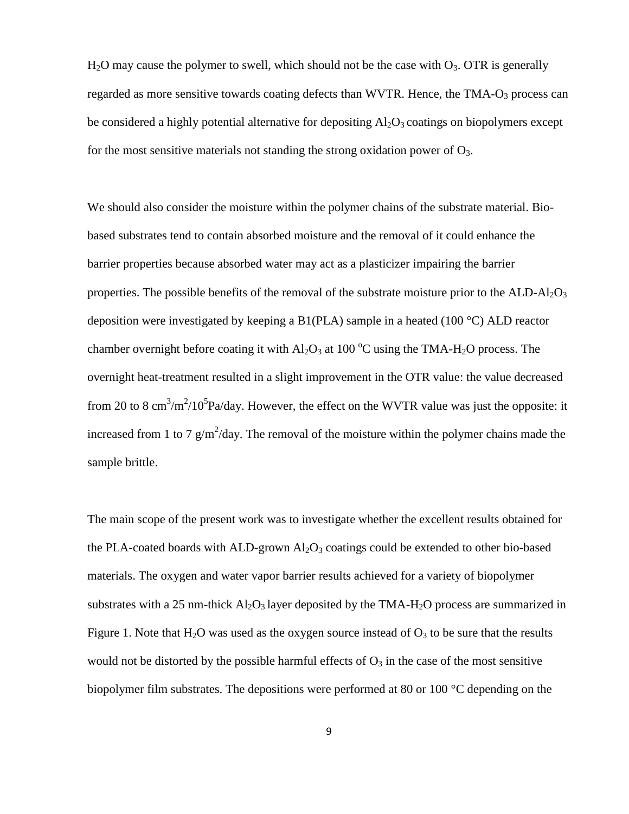$H<sub>2</sub>O$  may cause the polymer to swell, which should not be the case with  $O<sub>3</sub>$ . OTR is generally regarded as more sensitive towards coating defects than WVTR. Hence, the  $TMA-O<sub>3</sub>$  process can be considered a highly potential alternative for depositing  $Al_2O_3$  coatings on biopolymers except for the most sensitive materials not standing the strong oxidation power of  $O_3$ .

We should also consider the moisture within the polymer chains of the substrate material. Biobased substrates tend to contain absorbed moisture and the removal of it could enhance the barrier properties because absorbed water may act as a plasticizer impairing the barrier properties. The possible benefits of the removal of the substrate moisture prior to the  $ALD-AI_2O_3$ deposition were investigated by keeping a B1(PLA) sample in a heated (100 °C) ALD reactor chamber overnight before coating it with  $Al_2O_3$  at 100 °C using the TMA-H<sub>2</sub>O process. The overnight heat-treatment resulted in a slight improvement in the OTR value: the value decreased from 20 to 8 cm<sup>3</sup>/m<sup>2</sup>/10<sup>5</sup>Pa/day. However, the effect on the WVTR value was just the opposite: it increased from 1 to 7  $g/m^2$ /day. The removal of the moisture within the polymer chains made the sample brittle.

The main scope of the present work was to investigate whether the excellent results obtained for the PLA-coated boards with ALD-grown  $Al_2O_3$  coatings could be extended to other bio-based materials. The oxygen and water vapor barrier results achieved for a variety of biopolymer substrates with a 25 nm-thick  $A<sub>2</sub>O<sub>3</sub>$  layer deposited by the TMA-H<sub>2</sub>O process are summarized in Figure 1. Note that  $H_2O$  was used as the oxygen source instead of  $O_3$  to be sure that the results would not be distorted by the possible harmful effects of  $O_3$  in the case of the most sensitive biopolymer film substrates. The depositions were performed at 80 or 100 °C depending on the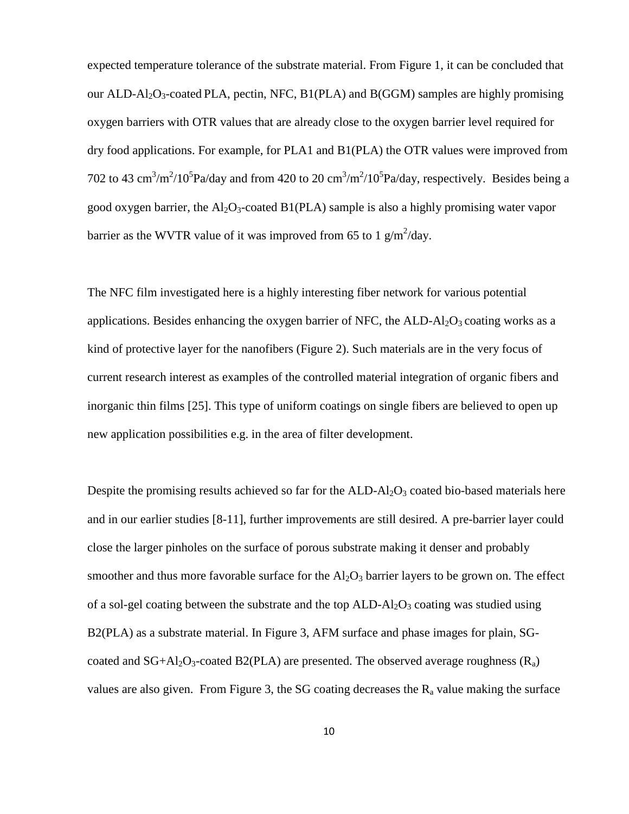expected temperature tolerance of the substrate material. From Figure 1, it can be concluded that our ALD-Al<sub>2</sub>O<sub>3</sub>-coated PLA, pectin, NFC, B1(PLA) and B(GGM) samples are highly promising oxygen barriers with OTR values that are already close to the oxygen barrier level required for dry food applications. For example, for PLA1 and B1(PLA) the OTR values were improved from 702 to 43 cm<sup>3</sup>/m<sup>2</sup>/10<sup>5</sup>Pa/day and from 420 to 20 cm<sup>3</sup>/m<sup>2</sup>/10<sup>5</sup>Pa/day, respectively. Besides being a good oxygen barrier, the  $A<sub>1</sub>Q<sub>3</sub>$ -coated B1(PLA) sample is also a highly promising water vapor barrier as the WVTR value of it was improved from 65 to 1  $g/m^2$ /day.

The NFC film investigated here is a highly interesting fiber network for various potential applications. Besides enhancing the oxygen barrier of NFC, the  $ALD-Al<sub>2</sub>O<sub>3</sub>$  coating works as a kind of protective layer for the nanofibers (Figure 2). Such materials are in the very focus of current research interest as examples of the controlled material integration of organic fibers and inorganic thin films [25]. This type of uniform coatings on single fibers are believed to open up new application possibilities e.g. in the area of filter development.

Despite the promising results achieved so far for the  $ALD-Al<sub>2</sub>O<sub>3</sub>$  coated bio-based materials here and in our earlier studies [8-11], further improvements are still desired. A pre-barrier layer could close the larger pinholes on the surface of porous substrate making it denser and probably smoother and thus more favorable surface for the  $Al_2O_3$  barrier layers to be grown on. The effect of a sol-gel coating between the substrate and the top  $ALD-Al<sub>2</sub>O<sub>3</sub>$  coating was studied using B2(PLA) as a substrate material. In Figure 3, AFM surface and phase images for plain, SGcoated and  $SG+Al_2O_3$ -coated B2(PLA) are presented. The observed average roughness ( $R_a$ ) values are also given. From Figure 3, the SG coating decreases the  $R_a$  value making the surface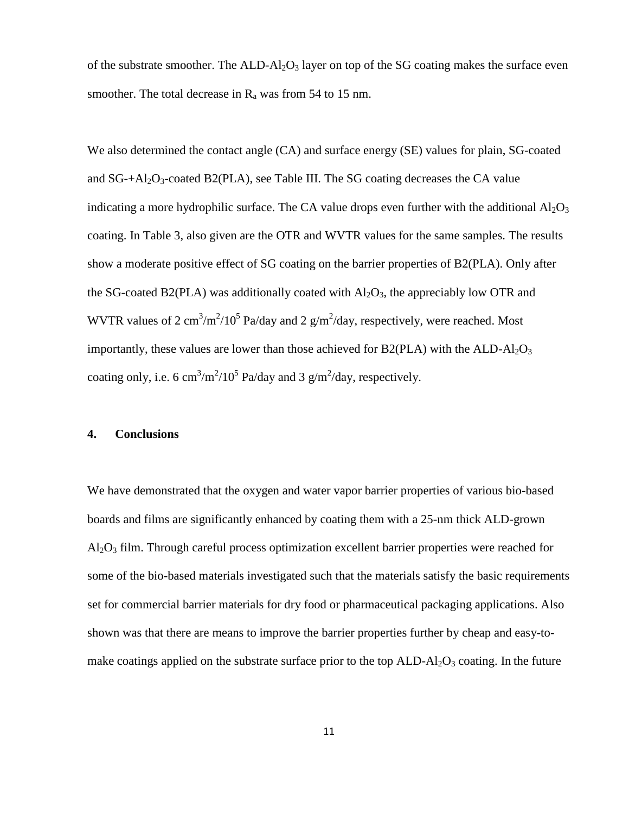of the substrate smoother. The  $ALD-Al<sub>2</sub>O<sub>3</sub>$  layer on top of the SG coating makes the surface even smoother. The total decrease in  $R_a$  was from 54 to 15 nm.

We also determined the contact angle (CA) and surface energy (SE) values for plain, SG-coated and  $SG + A1_2O_3$ -coated  $B2(PLA)$ , see Table III. The SG coating decreases the CA value indicating a more hydrophilic surface. The CA value drops even further with the additional  $A_2O_3$ coating. In Table 3, also given are the OTR and WVTR values for the same samples. The results show a moderate positive effect of SG coating on the barrier properties of B2(PLA). Only after the SG-coated B2(PLA) was additionally coated with  $Al_2O_3$ , the appreciably low OTR and WVTR values of 2 cm<sup>3</sup>/m<sup>2</sup>/10<sup>5</sup> Pa/day and 2  $g/m^2$ /day, respectively, were reached. Most importantly, these values are lower than those achieved for B2(PLA) with the  $ALD-A1<sub>2</sub>O<sub>3</sub>$ coating only, i.e. 6 cm<sup>3</sup>/m<sup>2</sup>/10<sup>5</sup> Pa/day and 3 g/m<sup>2</sup>/day, respectively.

#### **4. Conclusions**

We have demonstrated that the oxygen and water vapor barrier properties of various bio-based boards and films are significantly enhanced by coating them with a 25-nm thick ALD-grown  $Al_2O_3$  film. Through careful process optimization excellent barrier properties were reached for some of the bio-based materials investigated such that the materials satisfy the basic requirements set for commercial barrier materials for dry food or pharmaceutical packaging applications. Also shown was that there are means to improve the barrier properties further by cheap and easy-tomake coatings applied on the substrate surface prior to the top  $\text{ALD-Al}_2\text{O}_3$  coating. In the future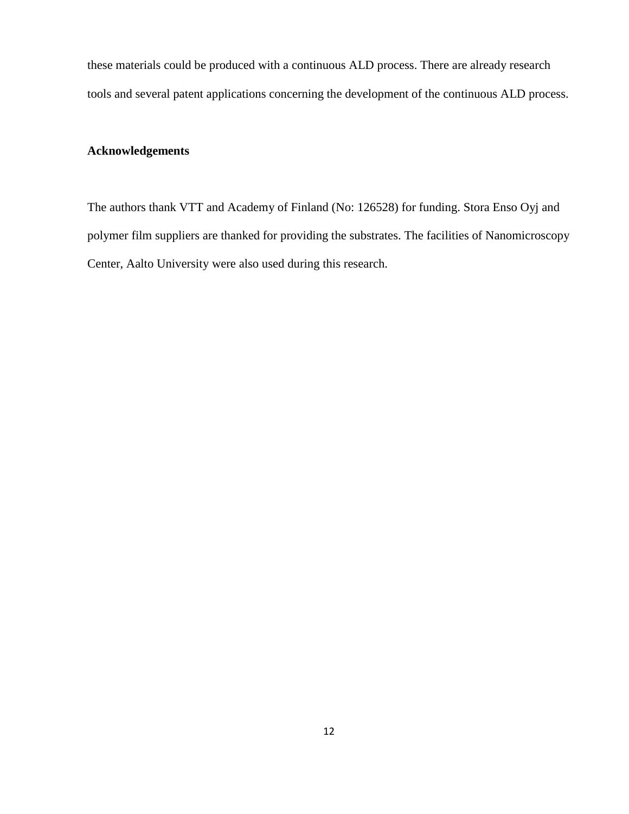these materials could be produced with a continuous ALD process. There are already research tools and several patent applications concerning the development of the continuous ALD process.

## **Acknowledgements**

The authors thank VTT and Academy of Finland (No: 126528) for funding. Stora Enso Oyj and polymer film suppliers are thanked for providing the substrates. The facilities of Nanomicroscopy Center, Aalto University were also used during this research.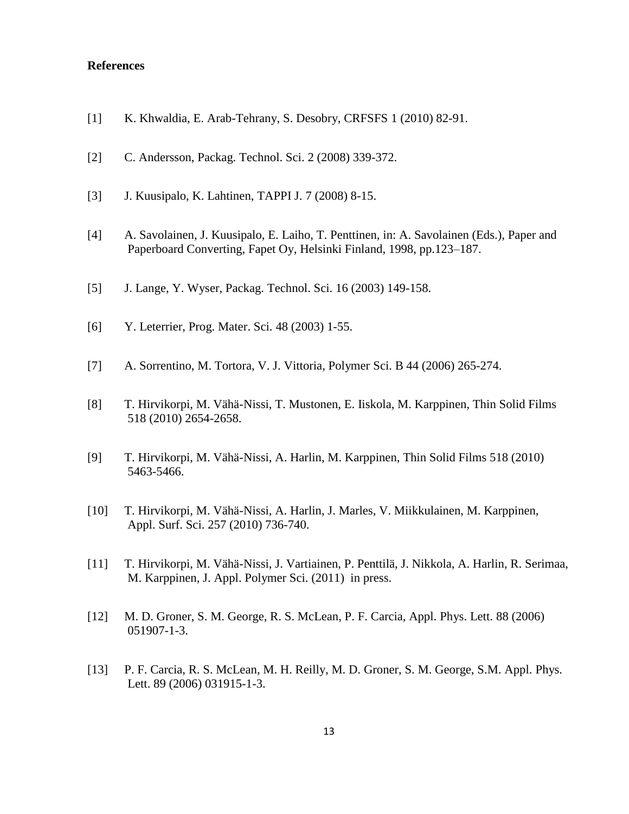#### **References**

- [1] K. Khwaldia, E. Arab-Tehrany, S. Desobry, CRFSFS 1 (2010) 82-91.
- [2] C. Andersson, Packag. Technol. Sci. 2 (2008) 339-372.
- [3] J. Kuusipalo, K. Lahtinen, TAPPI J. 7 (2008) 8-15.
- [4] A. Savolainen, J. Kuusipalo, E. Laiho, T. Penttinen, in: A. Savolainen (Eds.), Paper and Paperboard Converting, Fapet Oy, Helsinki Finland, 1998, pp.123–187.
- [5] J. Lange, Y. Wyser, Packag. Technol. Sci. 16 (2003) 149-158.
- [6] Y. Leterrier, Prog. Mater. Sci. 48 (2003) 1-55.
- [7] A. Sorrentino, M. Tortora, V. J. Vittoria, Polymer Sci. B 44 (2006) 265-274.
- [8] T. Hirvikorpi, M. Vähä-Nissi, T. Mustonen, E. Iiskola, M. Karppinen, Thin Solid Films 518 (2010) 2654-2658.
- [9] T. Hirvikorpi, M. Vähä-Nissi, A. Harlin, M. Karppinen, Thin Solid Films 518 (2010) 5463-5466.
- [10] T. Hirvikorpi, M. Vähä-Nissi, A. Harlin, J. Marles, V. Miikkulainen, M. Karppinen, Appl. Surf. Sci. 257 (2010) 736-740.
- [11] T. Hirvikorpi, M. Vähä-Nissi, J. Vartiainen, P. Penttilä, J. Nikkola, A. Harlin, R. Serimaa, M. Karppinen, J. Appl. Polymer Sci. (2011) in press.
- [12] M. D. Groner, S. M. George, R. S. McLean, P. F. Carcia, Appl. Phys. Lett. 88 (2006) 051907-1-3.
- [13] P. F. Carcia, R. S. McLean, M. H. Reilly, M. D. Groner, S. M. George, S.M. Appl. Phys. Lett. 89 (2006) 031915-1-3.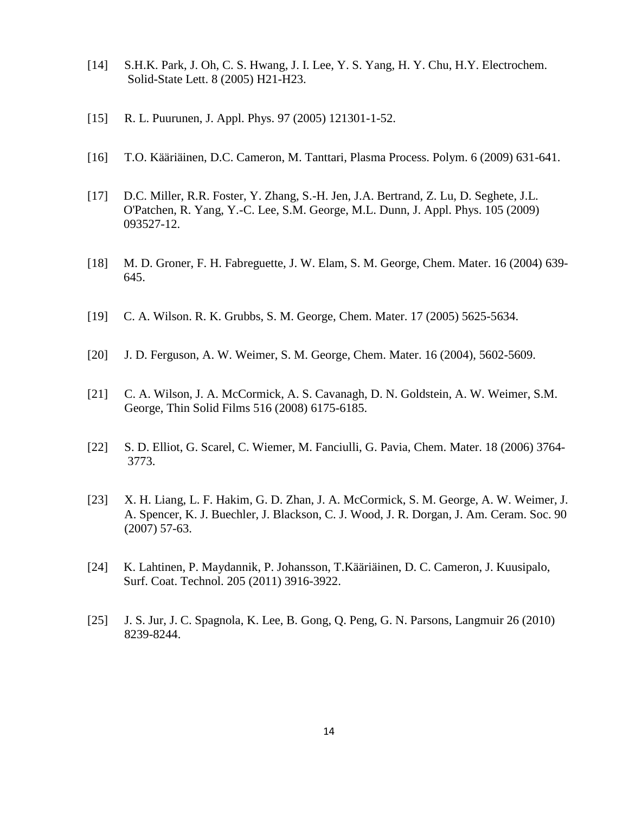- [14] S.H.K. Park, J. Oh, C. S. Hwang, J. I. Lee, Y. S. Yang, H. Y. Chu, H.Y. Electrochem. Solid-State Lett. 8 (2005) H21-H23.
- [15] R. L. Puurunen, J. Appl. Phys. 97 (2005) 121301-1-52.
- [16] T.O. Kääriäinen, D.C. Cameron, M. Tanttari, Plasma Process. Polym. 6 (2009) 631-641.
- [17] D.C. Miller, R.R. Foster, Y. Zhang, S.-H. Jen, J.A. Bertrand, Z. Lu, D. Seghete, J.L. O'Patchen, R. Yang, Y.-C. Lee, S.M. George, M.L. Dunn, J. Appl. Phys. 105 (2009) 093527-12.
- [18] M. D. Groner, F. H. Fabreguette, J. W. Elam, S. M. George, Chem. Mater. 16 (2004) 639- 645.
- [19] C. A. Wilson. R. K. Grubbs, S. M. George, Chem. Mater. 17 (2005) 5625-5634.
- [20] J. D. Ferguson, A. W. Weimer, S. M. George, Chem. Mater. 16 (2004), 5602-5609.
- [21] C. A. Wilson, J. A. McCormick, A. S. Cavanagh, D. N. Goldstein, A. W. Weimer, S.M. George, Thin Solid Films 516 (2008) 6175-6185.
- [22] S. D. Elliot, G. Scarel, C. Wiemer, M. Fanciulli, G. Pavia, Chem. Mater. 18 (2006) 3764- 3773.
- [23] X. H. Liang, L. F. Hakim, G. D. Zhan, J. A. McCormick, S. M. George, A. W. Weimer, J. A. Spencer, K. J. Buechler, J. Blackson, C. J. Wood, J. R. Dorgan, J. Am. Ceram. Soc. 90 (2007) 57-63.
- [24] K. Lahtinen, P. Maydannik, P. Johansson, T.Kääriäinen, D. C. Cameron, J. Kuusipalo, Surf. Coat. Technol. 205 (2011) 3916-3922.
- [25] J. S. Jur, J. C. Spagnola, K. Lee, B. Gong, Q. Peng, G. N. Parsons, Langmuir 26 (2010) 8239-8244.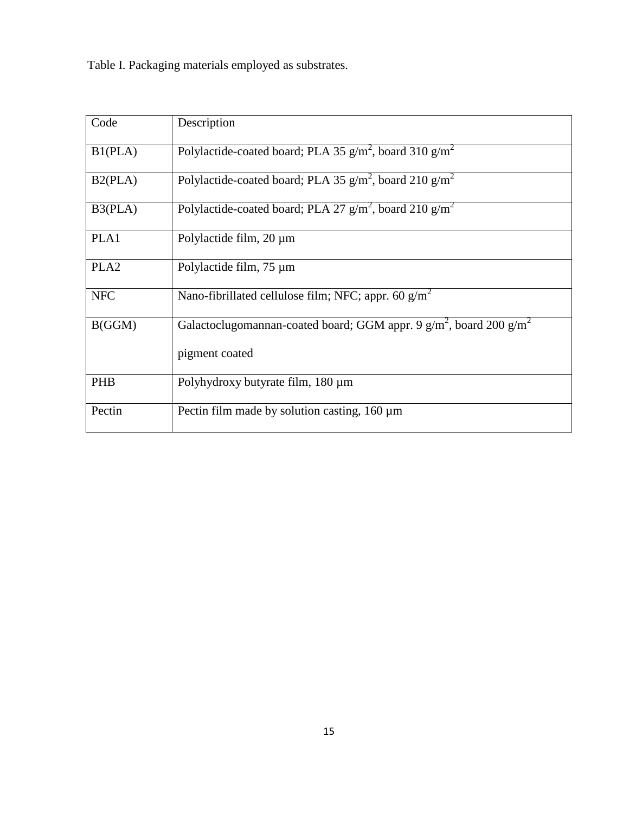Table I. Packaging materials employed as substrates.

| Code             | Description                                                              |
|------------------|--------------------------------------------------------------------------|
| B1(PLA)          | Polylactide-coated board; PLA 35 $g/m^2$ , board 310 $g/m^2$             |
| B2(PLA)          | Polylactide-coated board; PLA 35 $g/m^2$ , board 210 $g/m^2$             |
| B3(PLA)          | Polylactide-coated board; PLA 27 $g/m^2$ , board 210 $g/m^2$             |
| PLA1             | Polylactide film, $20 \mu m$                                             |
| PLA <sub>2</sub> | Polylactide film, 75 µm                                                  |
| <b>NFC</b>       | Nano-fibrillated cellulose film; NFC; appr. 60 $g/m2$                    |
| B(GGM)           | Galactoclugomannan-coated board; GGM appr. 9 $g/m^2$ , board 200 $g/m^2$ |
|                  | pigment coated                                                           |
| PHB              | Polyhydroxy butyrate film, 180 µm                                        |
| Pectin           | Pectin film made by solution casting, 160 µm                             |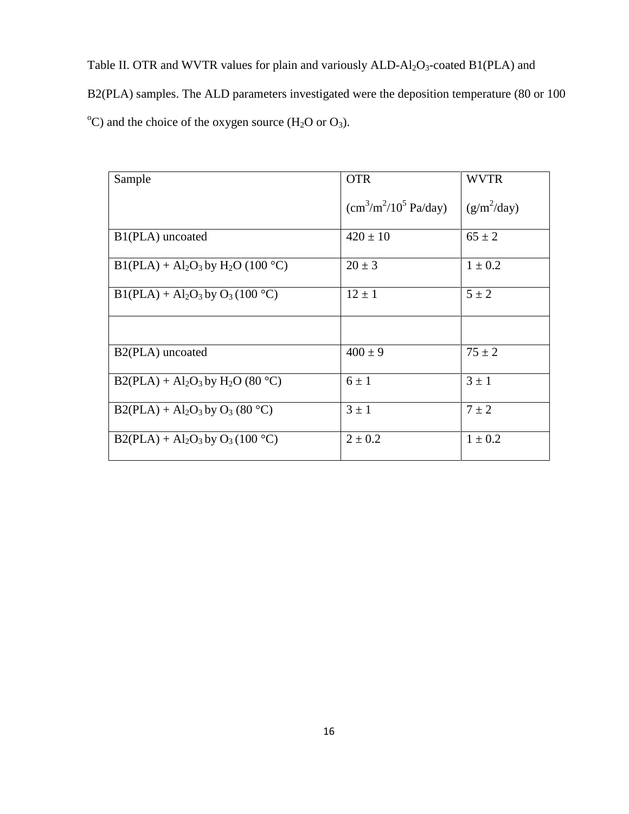Table II. OTR and WVTR values for plain and variously ALD-Al<sub>2</sub>O<sub>3</sub>-coated B1(PLA) and B2(PLA) samples. The ALD parameters investigated were the deposition temperature (80 or 100 <sup>o</sup>C) and the choice of the oxygen source (H<sub>2</sub>O or O<sub>3</sub>).

| Sample                                          | <b>OTR</b>                   | <b>WVTR</b>   |
|-------------------------------------------------|------------------------------|---------------|
|                                                 | $\rm (cm^3/m^2/10^5~Pa/day)$ | $(g/m^2/day)$ |
| B <sub>1</sub> (PLA) uncoated                   | $420 \pm 10$                 | $65 \pm 2$    |
| $B1(PLA) + Al2O3$ by H <sub>2</sub> O (100 °C)  | $20 \pm 3$                   | $1 \pm 0.2$   |
| $B1(PLA) + Al2O3$ by $O3(100 °C)$               | $12 \pm 1$                   | $5 \pm 2$     |
|                                                 |                              |               |
| B <sub>2</sub> (PLA) uncoated                   | $400 \pm 9$                  | $75 \pm 2$    |
| $B2(PLA) + Al_2O_3$ by H <sub>2</sub> O (80 °C) | $6 \pm 1$                    | $3 \pm 1$     |
| $B2(PLA) + Al2O3$ by $O3$ (80 °C)               | $3 \pm 1$                    | $7 \pm 2$     |
| $B2(PLA) + Al2O3$ by $O3(100 °C)$               | $2 \pm 0.2$                  | $1 \pm 0.2$   |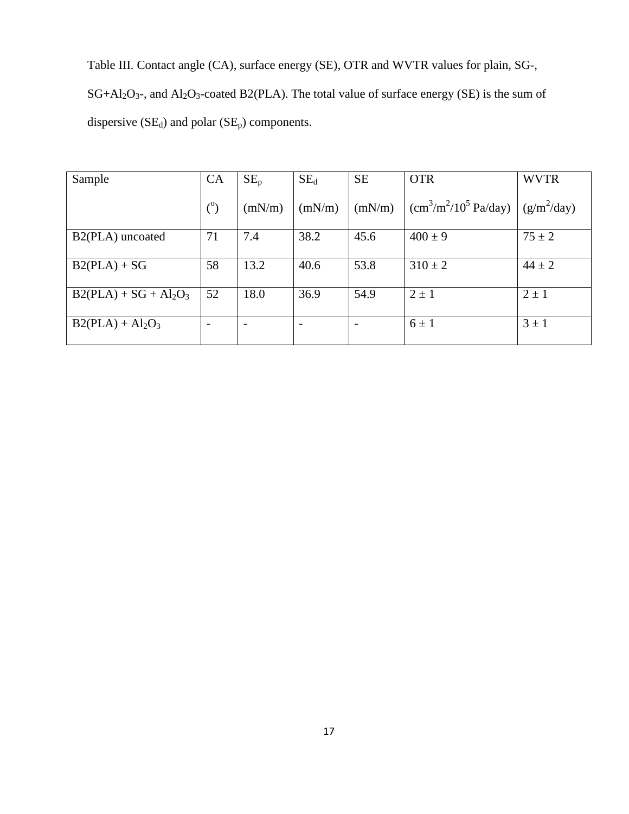Table III. Contact angle (CA), surface energy (SE), OTR and WVTR values for plain, SG-,  $SG+Al_2O_3$ -, and  $Al_2O_3$ -coated B2(PLA). The total value of surface energy (SE) is the sum of dispersive  $(SE_d)$  and polar  $(SE_p)$  components.

| Sample                        | CA  | $SE_p$ | $SE_d$                   | <b>SE</b> | <b>OTR</b>                   | <b>WVTR</b>   |
|-------------------------------|-----|--------|--------------------------|-----------|------------------------------|---------------|
|                               |     |        |                          |           |                              |               |
|                               | (°) | (mN/m) | (mN/m)                   | (mN/m)    | $\rm (cm^3/m^2/10^5~Pa/day)$ | $(g/m^2/day)$ |
|                               |     |        |                          |           |                              |               |
| B <sub>2</sub> (PLA) uncoated | 71  | 7.4    | 38.2                     | 45.6      | $400 \pm 9$                  | $75 \pm 2$    |
|                               |     |        |                          |           |                              |               |
| $B2(PLA) + SG$                | 58  | 13.2   | 40.6                     | 53.8      | $310 \pm 2$                  | $44 \pm 2$    |
|                               |     |        |                          |           |                              |               |
| $B2(PLA) + SG + Al2O3$        | 52  | 18.0   | 36.9                     | 54.9      | $2 \pm 1$                    | $2 \pm 1$     |
|                               |     |        |                          |           |                              |               |
| $B2(PLA) + Al2O3$             |     | -      | $\overline{\phantom{0}}$ |           | $6 \pm 1$                    | $3 \pm 1$     |
|                               |     |        |                          |           |                              |               |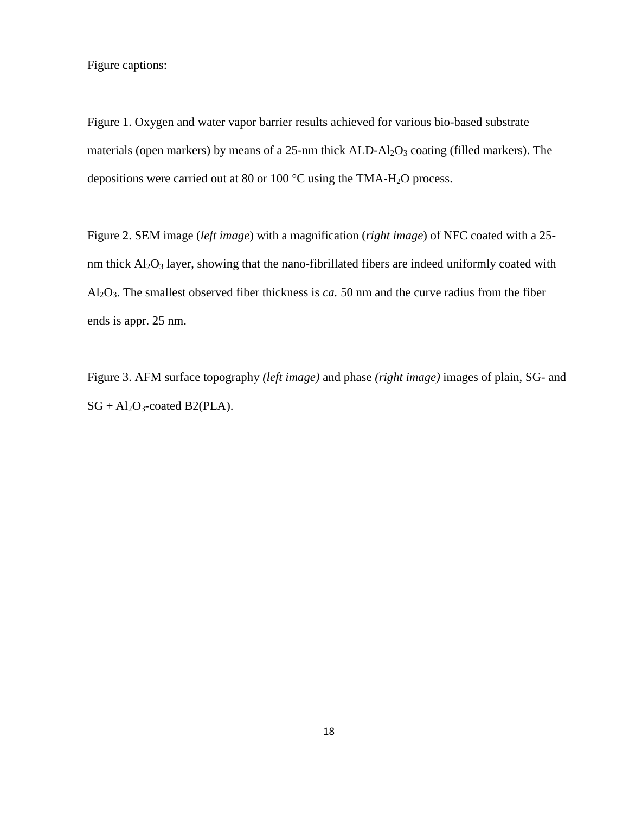Figure captions:

Figure 1. Oxygen and water vapor barrier results achieved for various bio-based substrate materials (open markers) by means of a  $25$ -nm thick  $ALD-Al<sub>2</sub>O<sub>3</sub>$  coating (filled markers). The depositions were carried out at 80 or 100 °C using the TMA-H2O process.

Figure 2. SEM image (*left image*) with a magnification (*right image*) of NFC coated with a 25 nm thick  $Al_2O_3$  layer, showing that the nano-fibrillated fibers are indeed uniformly coated with Al2O3. The smallest observed fiber thickness is *ca.* 50 nm and the curve radius from the fiber ends is appr. 25 nm.

Figure 3. AFM surface topography *(left image)* and phase *(right image)* images of plain, SG- and  $SG + Al<sub>2</sub>O<sub>3</sub>$ -coated B2(PLA).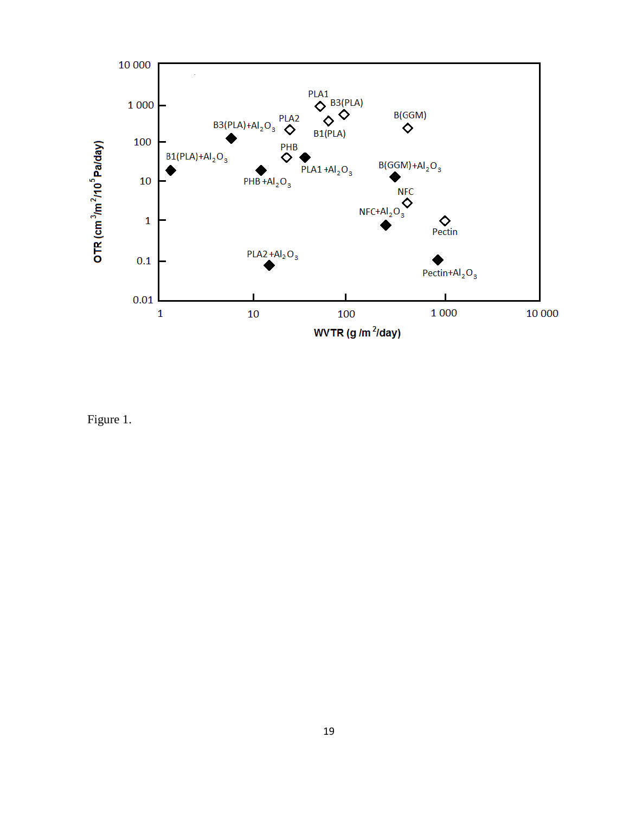

Figure 1.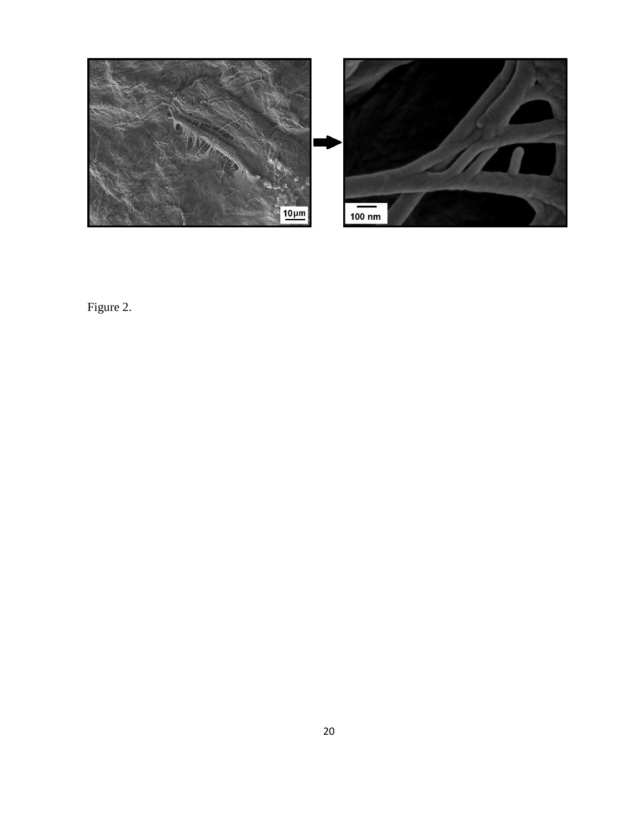

Figure 2.